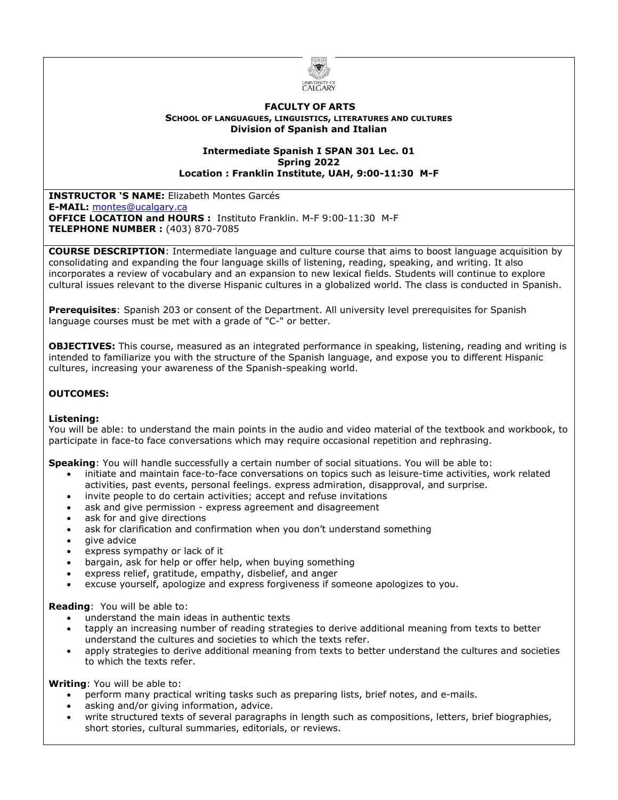

#### **FACULTY OF ARTS SCHOOL OF LANGUAGUES, LINGUISTICS, LITERATURES AND CULTURES Division of Spanish and Italian**

#### **Intermediate Spanish I SPAN 301 Lec. 01 Spring 2022 Location : Franklin Institute, UAH, 9:00-11:30 M-F**

**INSTRUCTOR 'S NAME:** Elizabeth Montes Garcés **E-MAIL:** [montes@ucalgary.ca](mailto:montes@ucalgary.ca) **OFFICE LOCATION and HOURS :** Instituto Franklin. M-F 9:00-11:30 M-F **TELEPHONE NUMBER :** (403) 870-7085

**COURSE DESCRIPTION**: Intermediate language and culture course that aims to boost language acquisition by consolidating and expanding the four language skills of listening, reading, speaking, and writing. It also incorporates a review of vocabulary and an expansion to new lexical fields. Students will continue to explore cultural issues relevant to the diverse Hispanic cultures in a globalized world. The class is conducted in Spanish.

**Prerequisites**: Spanish 203 or consent of the Department. All university level prerequisites for Spanish language courses must be met with a grade of "C-" or better.

**OBJECTIVES:** This course, measured as an integrated performance in speaking, listening, reading and writing is intended to familiarize you with the structure of the Spanish language, and expose you to different Hispanic cultures, increasing your awareness of the Spanish-speaking world.

# **OUTCOMES:**

### **Listening:**

You will be able: to understand the main points in the audio and video material of the textbook and workbook, to participate in face-to face conversations which may require occasional repetition and rephrasing.

**Speaking**: You will handle successfully a certain number of social situations. You will be able to:

- initiate and maintain face-to-face conversations on topics such as leisure-time activities, work related activities, past events, personal feelings. express admiration, disapproval, and surprise.
- invite people to do certain activities; accept and refuse invitations
- ask and give permission express agreement and disagreement
- ask for and give directions
- ask for clarification and confirmation when you don't understand something
- give advice
- express sympathy or lack of it
- bargain, ask for help or offer help, when buying something
- express relief, gratitude, empathy, disbelief, and anger
- excuse yourself, apologize and express forgiveness if someone apologizes to you.

#### **Reading**: You will be able to:

- understand the main ideas in authentic texts
- tapply an increasing number of reading strategies to derive additional meaning from texts to better understand the cultures and societies to which the texts refer.
- apply strategies to derive additional meaning from texts to better understand the cultures and societies to which the texts refer.

**Writing**: You will be able to:

- perform many practical writing tasks such as preparing lists, brief notes, and e-mails.
- asking and/or giving information, advice.
- write structured texts of several paragraphs in length such as compositions, letters, brief biographies, short stories, cultural summaries, editorials, or reviews.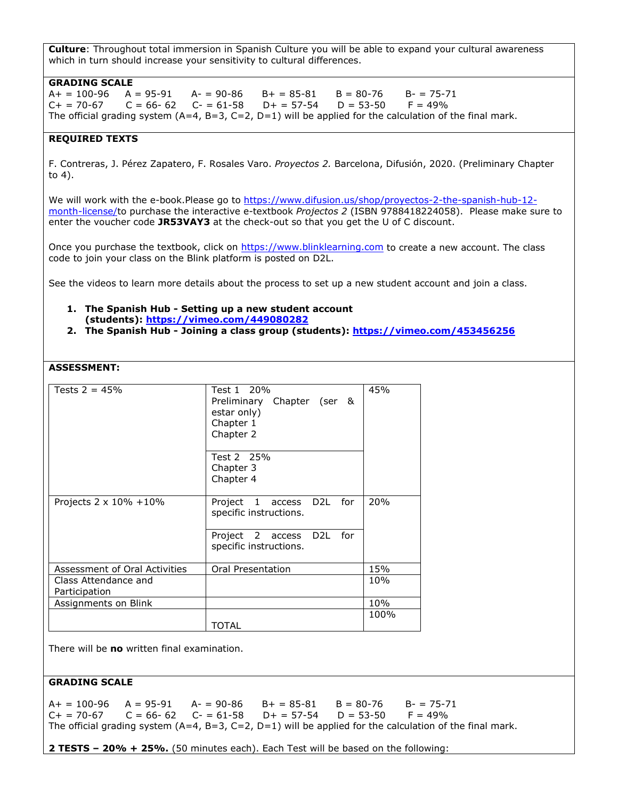**Culture**: Throughout total immersion in Spanish Culture you will be able to expand your cultural awareness which in turn should increase your sensitivity to cultural differences.

#### **GRADING SCALE**

 $A+ = 100-96$   $A = 95-91$   $A- = 90-86$   $B+ = 85-81$   $B = 80-76$   $B- = 75-71$ <br> $C+ = 70-67$   $C = 66-62$   $C- = 61-58$   $D+ = 57-54$   $D = 53-50$   $F = 49\%$  $C = 66 - 62$   $C = 61 - 58$   $D + = 57 - 54$ The official grading system  $(A=4, B=3, C=2, D=1)$  will be applied for the calculation of the final mark.

### **REQUIRED TEXTS**

F. Contreras, J. Pérez Zapatero, F. Rosales Varo. *Proyectos 2.* Barcelona, Difusión, 2020. (Preliminary Chapter to 4).

We will work with the e-book.Please go to [https://www.difusion.us/shop/proyectos-2-the-spanish-hub-12](https://www.difusion.us/shop/proyectos-2-the-spanish-hub-12-month-license/) [month-license/t](https://www.difusion.us/shop/proyectos-2-the-spanish-hub-12-month-license/)o purchase the interactive e-textbook *Projectos 2* (ISBN 9788418224058). Please make sure to enter the voucher code **JR53VAY3** at the check-out so that you get the U of C discount.

Once you purchase the textbook, click on [https://www.blinklearning.com](https://www.blinklearning.com/) to create a new account. The class code to join your class on the Blink platform is posted on D2L.

See the videos to learn more details about the process to set up a new student account and join a class.

#### **1. The Spanish Hub - Setting up a new student account (students): <https://vimeo.com/449080282>**

**2. The Spanish Hub - Joining a class group (students): <https://vimeo.com/453456256>**

# **ASSESSMENT:**

| Tests $2 = 45%$                 | Test 1 20%<br>Preliminary Chapter (ser &<br>estar only)<br>Chapter 1<br>Chapter 2<br>Test 2 25%<br>Chapter 3 | 45%  |
|---------------------------------|--------------------------------------------------------------------------------------------------------------|------|
|                                 | Chapter 4                                                                                                    |      |
| Projects $2 \times 10\% + 10\%$ | D <sub>2</sub> L for<br>Project 1 access<br>specific instructions.                                           | 20%  |
|                                 | D <sub>2</sub> L for<br>Project 2 access<br>specific instructions.                                           |      |
| Assessment of Oral Activities   | Oral Presentation                                                                                            | 15%  |
| Class Attendance and            |                                                                                                              | 10%  |
| Participation                   |                                                                                                              |      |
| Assignments on Blink            |                                                                                                              | 10%  |
|                                 | TOTAL                                                                                                        | 100% |

There will be **no** written final examination.

### **GRADING SCALE**

 $A+ = 100-96$   $A = 95-91$   $A- = 90-86$   $B+ = 85-81$   $B = 80-76$   $B- = 75-71$  $C_+ = 70-67$   $C = 66-62$   $C_-= 61-58$   $D_+ = 57-54$   $D = 53-50$   $F = 49\%$ The official grading system  $(A=4, B=3, C=2, D=1)$  will be applied for the calculation of the final mark.

**2 TESTS – 20% + 25%.** (50 minutes each). Each Test will be based on the following: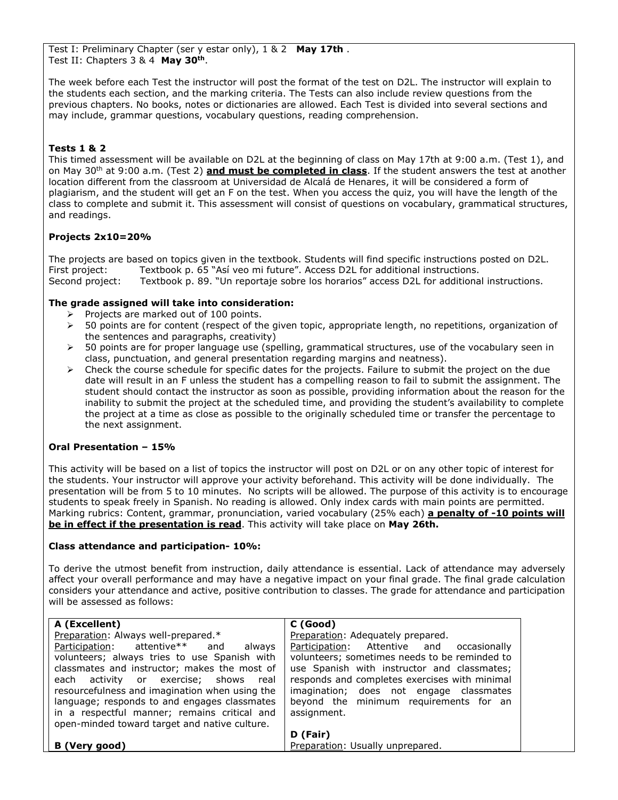Test I: Preliminary Chapter (ser y estar only), 1 & 2 **May 17th** . Test II: Chapters 3 & 4 **May 30th**.

The week before each Test the instructor will post the format of the test on D2L. The instructor will explain to the students each section, and the marking criteria. The Tests can also include review questions from the previous chapters. No books, notes or dictionaries are allowed. Each Test is divided into several sections and may include, grammar questions, vocabulary questions, reading comprehension.

# **Tests 1 & 2**

This timed assessment will be available on D2L at the beginning of class on May 17th at 9:00 a.m. (Test 1), and on May 30th at 9:00 a.m. (Test 2) **and must be completed in class**. If the student answers the test at another location different from the classroom at Universidad de Alcalá de Henares, it will be considered a form of plagiarism, and the student will get an F on the test. When you access the quiz, you will have the length of the class to complete and submit it. This assessment will consist of questions on vocabulary, grammatical structures, and readings.

## **Projects 2x10=20%**

The projects are based on topics given in the textbook. Students will find specific instructions posted on D2L. First project: Textbook p. 65 "Así veo mi future". Access D2L for additional instructions. Second project: Textbook p. 89. "Un reportaje sobre los horarios" access D2L for additional instructions.

## **The grade assigned will take into consideration:**

- $\triangleright$  Projects are marked out of 100 points.
- $\triangleright$  50 points are for content (respect of the given topic, appropriate length, no repetitions, organization of the sentences and paragraphs, creativity)
- $\geq$  50 points are for proper language use (spelling, grammatical structures, use of the vocabulary seen in class, punctuation, and general presentation regarding margins and neatness).
- $\triangleright$  Check the course schedule for specific dates for the projects. Failure to submit the project on the due date will result in an F unless the student has a compelling reason to fail to submit the assignment. The student should contact the instructor as soon as possible, providing information about the reason for the inability to submit the project at the scheduled time, and providing the student's availability to complete the project at a time as close as possible to the originally scheduled time or transfer the percentage to the next assignment.

### **Oral Presentation – 15%**

This activity will be based on a list of topics the instructor will post on D2L or on any other topic of interest for the students. Your instructor will approve your activity beforehand. This activity will be done individually. The presentation will be from 5 to 10 minutes. No scripts will be allowed. The purpose of this activity is to encourage students to speak freely in Spanish. No reading is allowed. Only index cards with main points are permitted. Marking rubrics: Content, grammar, pronunciation, varied vocabulary (25% each) **a penalty of -10 points will be in effect if the presentation is read**. This activity will take place on **May 26th.**

### **Class attendance and participation- 10%:**

To derive the utmost benefit from instruction, daily attendance is essential. Lack of attendance may adversely affect your overall performance and may have a negative impact on your final grade. The final grade calculation considers your attendance and active, positive contribution to classes. The grade for attendance and participation will be assessed as follows:

| A (Excellent)<br>Preparation: Always well-prepared.*                                                                                                                                                                                                                                     | C (Good)<br>Preparation: Adequately prepared.                                                                                                                                                    |
|------------------------------------------------------------------------------------------------------------------------------------------------------------------------------------------------------------------------------------------------------------------------------------------|--------------------------------------------------------------------------------------------------------------------------------------------------------------------------------------------------|
| Participation: attentive** and<br>always<br>volunteers; always tries to use Spanish with                                                                                                                                                                                                 | Participation: Attentive and occasionally<br>volunteers; sometimes needs to be reminded to                                                                                                       |
| classmates and instructor; makes the most of<br>each activity or exercise; shows real<br>resourcefulness and imagination when using the<br>language; responds to and engages classmates<br>in a respectful manner; remains critical and<br>open-minded toward target and native culture. | use Spanish with instructor and classmates;<br>responds and completes exercises with minimal<br>imagination; does not engage classmates<br>beyond the minimum requirements for an<br>assignment. |
|                                                                                                                                                                                                                                                                                          | D (Fair)                                                                                                                                                                                         |
| B (Very good)                                                                                                                                                                                                                                                                            | Preparation: Usually unprepared.                                                                                                                                                                 |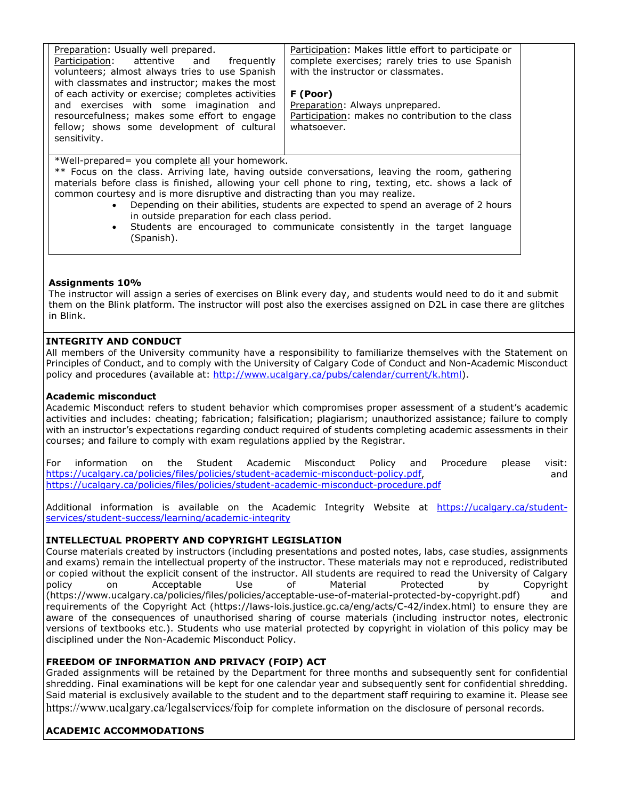| Preparation: Usually well prepared.                | Participation: Makes little effort to participate or |
|----------------------------------------------------|------------------------------------------------------|
| Participation: attentive and<br>freauently         | complete exercises; rarely tries to use Spanish      |
| volunteers; almost always tries to use Spanish     | with the instructor or classmates.                   |
| with classmates and instructor; makes the most     |                                                      |
| of each activity or exercise; completes activities | F (Poor)                                             |
| and exercises with some imagination and            | Preparation: Always unprepared.                      |
| resourcefulness; makes some effort to engage       | Participation: makes no contribution to the class    |
| fellow; shows some development of cultural         | whatsoever.                                          |
| sensitivity.                                       |                                                      |
|                                                    |                                                      |

\*Well-prepared= you complete all your homework.

\*\* Focus on the class. Arriving late, having outside conversations, leaving the room, gathering materials before class is finished, allowing your cell phone to ring, texting, etc. shows a lack of common courtesy and is more disruptive and distracting than you may realize.

- Depending on their abilities, students are expected to spend an average of 2 hours in outside preparation for each class period.
- Students are encouraged to communicate consistently in the target language (Spanish).

## **Assignments 10%**

The instructor will assign a series of exercises on Blink every day, and students would need to do it and submit them on the Blink platform. The instructor will post also the exercises assigned on D2L in case there are glitches in Blink.

## **INTEGRITY AND CONDUCT**

All members of the University community have a responsibility to familiarize themselves with the Statement on Principles of Conduct, and to comply with the University of Calgary Code of Conduct and Non-Academic Misconduct policy and procedures (available at: [http://www.ucalgary.ca/pubs/calendar/current/k.html\)](http://www.ucalgary.ca/pubs/calendar/current/k.html).

### **Academic misconduct**

Academic Misconduct refers to student behavior which compromises proper assessment of a student's academic activities and includes: cheating; fabrication; falsification; plagiarism; unauthorized assistance; failure to comply with an instructor's expectations regarding conduct required of students completing academic assessments in their courses; and failure to comply with exam regulations applied by the Registrar.

For information on the Student Academic Misconduct Policy and Procedure please visit: [https://ucalgary.ca/policies/files/policies/student-academic-misconduct-policy.pdf,](https://ucalgary.ca/policies/files/policies/student-academic-misconduct-policy.pdf) <https://ucalgary.ca/policies/files/policies/student-academic-misconduct-procedure.pdf>

Additional information is available on the Academic Integrity Website at [https://ucalgary.ca/student](https://ucalgary.ca/student-services/student-success/learning/academic-integrity)[services/student-success/learning/academic-integrity](https://ucalgary.ca/student-services/student-success/learning/academic-integrity)

# **INTELLECTUAL PROPERTY AND COPYRIGHT LEGISLATION**

Course materials created by instructors (including presentations and posted notes, labs, case studies, assignments and exams) remain the intellectual property of the instructor. These materials may not e reproduced, redistributed or copied without the explicit consent of the instructor. All students are required to read the University of Calgary policy on Acceptable Use of Material Protected by Copyright (https://www.ucalgary.ca/policies/files/policies/acceptable-use-of-material-protected-by-copyright.pdf) and requirements of the Copyright Act (https://laws-lois.justice.gc.ca/eng/acts/C-42/index.html) to ensure they are aware of the consequences of unauthorised sharing of course materials (including instructor notes, electronic versions of textbooks etc.). Students who use material protected by copyright in violation of this policy may be disciplined under the Non-Academic Misconduct Policy.

# **FREEDOM OF INFORMATION AND PRIVACY (FOIP) ACT**

Graded assignments will be retained by the Department for three months and subsequently sent for confidential shredding. Final examinations will be kept for one calendar year and subsequently sent for confidential shredding. Said material is exclusively available to the student and to the department staff requiring to examine it. Please see https://www.ucalgary.ca/legalservices/foip for complete information on the disclosure of personal records.

# **ACADEMIC ACCOMMODATIONS**